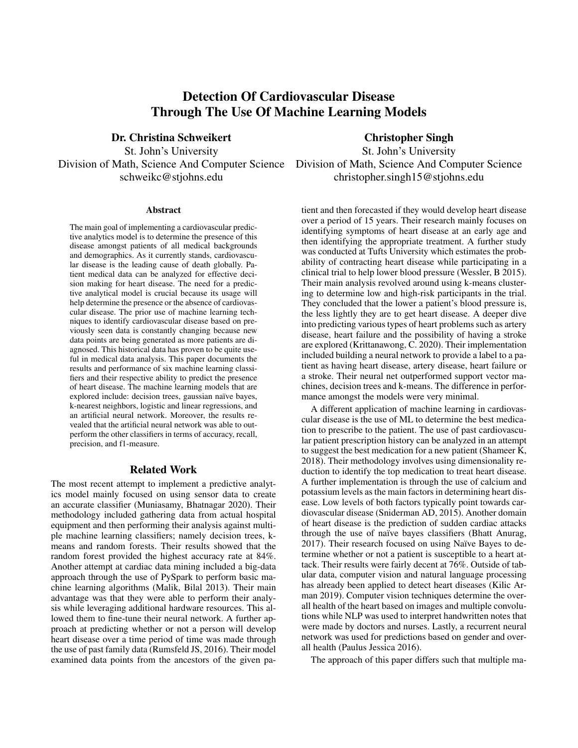# Detection Of Cardiovascular Disease Through The Use Of Machine Learning Models

Dr. Christina Schweikert Christopher Singh St. John's University St. John's University

#### Abstract

The main goal of implementing a cardiovascular predictive analytics model is to determine the presence of this disease amongst patients of all medical backgrounds and demographics. As it currently stands, cardiovascular disease is the leading cause of death globally. Patient medical data can be analyzed for effective decision making for heart disease. The need for a predictive analytical model is crucial because its usage will help determine the presence or the absence of cardiovascular disease. The prior use of machine learning techniques to identify cardiovascular disease based on previously seen data is constantly changing because new data points are being generated as more patients are diagnosed. This historical data has proven to be quite useful in medical data analysis. This paper documents the results and performance of six machine learning classifiers and their respective ability to predict the presence of heart disease. The machine learning models that are explored include: decision trees, gaussian naïve bayes, k-nearest neighbors, logistic and linear regressions, and an artificial neural network. Moreover, the results revealed that the artificial neural network was able to outperform the other classifiers in terms of accuracy, recall, precision, and f1-measure.

# Related Work

The most recent attempt to implement a predictive analytics model mainly focused on using sensor data to create an accurate classifier (Muniasamy, Bhatnagar 2020). Their methodology included gathering data from actual hospital equipment and then performing their analysis against multiple machine learning classifiers; namely decision trees, kmeans and random forests. Their results showed that the random forest provided the highest accuracy rate at 84%. Another attempt at cardiac data mining included a big-data approach through the use of PySpark to perform basic machine learning algorithms (Malik, Bilal 2013). Their main advantage was that they were able to perform their analysis while leveraging additional hardware resources. This allowed them to fine-tune their neural network. A further approach at predicting whether or not a person will develop heart disease over a time period of time was made through the use of past family data (Rumsfeld JS, 2016). Their model examined data points from the ancestors of the given pa-

Division of Math, Science And Computer Science Division of Math, Science And Computer Science schweikc@stjohns.edu christopher.singh15@stjohns.edu

> tient and then forecasted if they would develop heart disease over a period of 15 years. Their research mainly focuses on identifying symptoms of heart disease at an early age and then identifying the appropriate treatment. A further study was conducted at Tufts University which estimates the probability of contracting heart disease while participating in a clinical trial to help lower blood pressure (Wessler, B 2015). Their main analysis revolved around using k-means clustering to determine low and high-risk participants in the trial. They concluded that the lower a patient's blood pressure is, the less lightly they are to get heart disease. A deeper dive into predicting various types of heart problems such as artery disease, heart failure and the possibility of having a stroke are explored (Krittanawong, C. 2020). Their implementation included building a neural network to provide a label to a patient as having heart disease, artery disease, heart failure or a stroke. Their neural net outperformed support vector machines, decision trees and k-means. The difference in performance amongst the models were very minimal.

> A different application of machine learning in cardiovascular disease is the use of ML to determine the best medication to prescribe to the patient. The use of past cardiovascular patient prescription history can be analyzed in an attempt to suggest the best medication for a new patient (Shameer K, 2018). Their methodology involves using dimensionality reduction to identify the top medication to treat heart disease. A further implementation is through the use of calcium and potassium levels as the main factors in determining heart disease. Low levels of both factors typically point towards cardiovascular disease (Sniderman AD, 2015). Another domain of heart disease is the prediction of sudden cardiac attacks through the use of naïve bayes classifiers (Bhatt Anurag, 2017). Their research focused on using Naïve Bayes to determine whether or not a patient is susceptible to a heart attack. Their results were fairly decent at 76%. Outside of tabular data, computer vision and natural language processing has already been applied to detect heart diseases (Kilic Arman 2019). Computer vision techniques determine the overall health of the heart based on images and multiple convolutions while NLP was used to interpret handwritten notes that were made by doctors and nurses. Lastly, a recurrent neural network was used for predictions based on gender and overall health (Paulus Jessica 2016).

The approach of this paper differs such that multiple ma-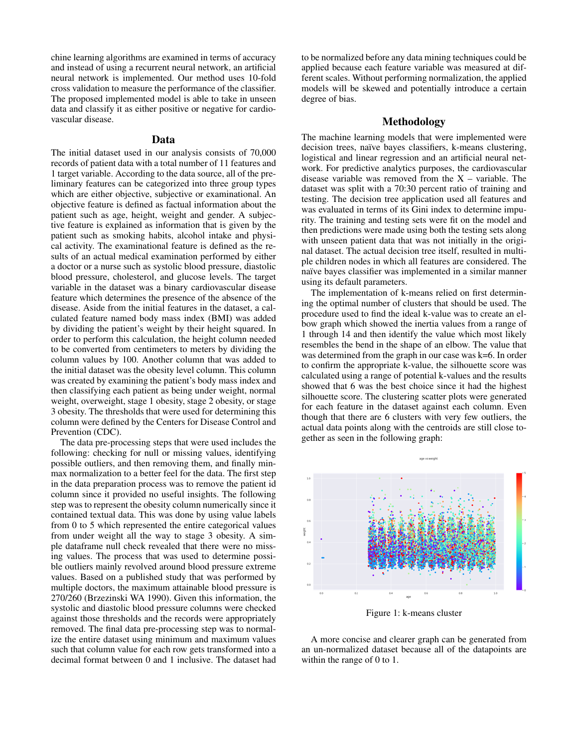chine learning algorithms are examined in terms of accuracy and instead of using a recurrent neural network, an artificial neural network is implemented. Our method uses 10-fold cross validation to measure the performance of the classifier. The proposed implemented model is able to take in unseen data and classify it as either positive or negative for cardiovascular disease.

## Data

The initial dataset used in our analysis consists of 70,000 records of patient data with a total number of 11 features and 1 target variable. According to the data source, all of the preliminary features can be categorized into three group types which are either objective, subjective or examinational. An objective feature is defined as factual information about the patient such as age, height, weight and gender. A subjective feature is explained as information that is given by the patient such as smoking habits, alcohol intake and physical activity. The examinational feature is defined as the results of an actual medical examination performed by either a doctor or a nurse such as systolic blood pressure, diastolic blood pressure, cholesterol, and glucose levels. The target variable in the dataset was a binary cardiovascular disease feature which determines the presence of the absence of the disease. Aside from the initial features in the dataset, a calculated feature named body mass index (BMI) was added by dividing the patient's weight by their height squared. In order to perform this calculation, the height column needed to be converted from centimeters to meters by dividing the column values by 100. Another column that was added to the initial dataset was the obesity level column. This column was created by examining the patient's body mass index and then classifying each patient as being under weight, normal weight, overweight, stage 1 obesity, stage 2 obesity, or stage 3 obesity. The thresholds that were used for determining this column were defined by the Centers for Disease Control and Prevention (CDC).

The data pre-processing steps that were used includes the following: checking for null or missing values, identifying possible outliers, and then removing them, and finally minmax normalization to a better feel for the data. The first step in the data preparation process was to remove the patient id column since it provided no useful insights. The following step was to represent the obesity column numerically since it contained textual data. This was done by using value labels from 0 to 5 which represented the entire categorical values from under weight all the way to stage 3 obesity. A simple dataframe null check revealed that there were no missing values. The process that was used to determine possible outliers mainly revolved around blood pressure extreme values. Based on a published study that was performed by multiple doctors, the maximum attainable blood pressure is 270/260 (Brzezinski WA 1990). Given this information, the systolic and diastolic blood pressure columns were checked against those thresholds and the records were appropriately removed. The final data pre-processing step was to normalize the entire dataset using minimum and maximum values such that column value for each row gets transformed into a decimal format between 0 and 1 inclusive. The dataset had

to be normalized before any data mining techniques could be applied because each feature variable was measured at different scales. Without performing normalization, the applied models will be skewed and potentially introduce a certain degree of bias.

### Methodology

The machine learning models that were implemented were decision trees, naïve bayes classifiers, k-means clustering, logistical and linear regression and an artificial neural network. For predictive analytics purposes, the cardiovascular disease variable was removed from the  $X$  – variable. The dataset was split with a 70:30 percent ratio of training and testing. The decision tree application used all features and was evaluated in terms of its Gini index to determine impurity. The training and testing sets were fit on the model and then predictions were made using both the testing sets along with unseen patient data that was not initially in the original dataset. The actual decision tree itself, resulted in multiple children nodes in which all features are considered. The naïve bayes classifier was implemented in a similar manner using its default parameters.

The implementation of k-means relied on first determining the optimal number of clusters that should be used. The procedure used to find the ideal k-value was to create an elbow graph which showed the inertia values from a range of 1 through 14 and then identify the value which most likely resembles the bend in the shape of an elbow. The value that was determined from the graph in our case was k=6. In order to confirm the appropriate k-value, the silhouette score was calculated using a range of potential k-values and the results showed that 6 was the best choice since it had the highest silhouette score. The clustering scatter plots were generated for each feature in the dataset against each column. Even though that there are 6 clusters with very few outliers, the actual data points along with the centroids are still close together as seen in the following graph:



Figure 1: k-means cluster

A more concise and clearer graph can be generated from an un-normalized dataset because all of the datapoints are within the range of 0 to 1.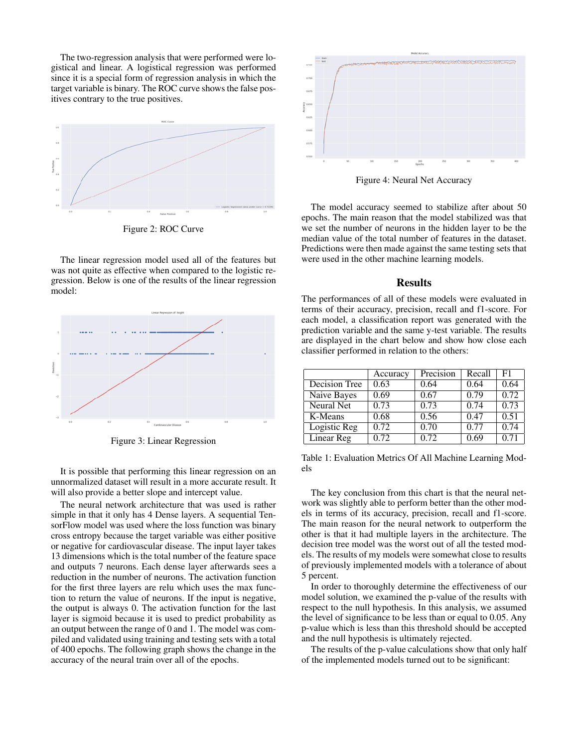The two-regression analysis that were performed were logistical and linear. A logistical regression was performed since it is a special form of regression analysis in which the target variable is binary. The ROC curve shows the false positives contrary to the true positives.



Figure 2: ROC Curve

The linear regression model used all of the features but was not quite as effective when compared to the logistic regression. Below is one of the results of the linear regression model:



Figure 3: Linear Regression

It is possible that performing this linear regression on an unnormalized dataset will result in a more accurate result. It will also provide a better slope and intercept value.

The neural network architecture that was used is rather simple in that it only has 4 Dense layers. A sequential TensorFlow model was used where the loss function was binary cross entropy because the target variable was either positive or negative for cardiovascular disease. The input layer takes 13 dimensions which is the total number of the feature space and outputs 7 neurons. Each dense layer afterwards sees a reduction in the number of neurons. The activation function for the first three layers are relu which uses the max function to return the value of neurons. If the input is negative, the output is always 0. The activation function for the last layer is sigmoid because it is used to predict probability as an output between the range of 0 and 1. The model was compiled and validated using training and testing sets with a total of 400 epochs. The following graph shows the change in the accuracy of the neural train over all of the epochs.



Figure 4: Neural Net Accuracy

The model accuracy seemed to stabilize after about 50 epochs. The main reason that the model stabilized was that we set the number of neurons in the hidden layer to be the median value of the total number of features in the dataset. Predictions were then made against the same testing sets that were used in the other machine learning models.

#### **Results**

The performances of all of these models were evaluated in terms of their accuracy, precision, recall and f1-score. For each model, a classification report was generated with the prediction variable and the same y-test variable. The results are displayed in the chart below and show how close each classifier performed in relation to the others:

|               | Accuracy | Precision | Recall | F1   |
|---------------|----------|-----------|--------|------|
| Decision Tree | 0.63     | 0.64      | 0.64   | 0.64 |
| Naive Bayes   | 0.69     | 0.67      | 0.79   | 0.72 |
| Neural Net    | 0.73     | 0.73      | 0.74   | 0.73 |
| K-Means       | 0.68     | 0.56      | 0.47   | 0.51 |
| Logistic Reg  | 0.72     | 0.70      | 0.77   | 0.74 |
| Linear Reg    | 0.72     | 0.72      | 0.69   | 0.71 |

Table 1: Evaluation Metrics Of All Machine Learning Models

The key conclusion from this chart is that the neural network was slightly able to perform better than the other models in terms of its accuracy, precision, recall and f1-score. The main reason for the neural network to outperform the other is that it had multiple layers in the architecture. The decision tree model was the worst out of all the tested models. The results of my models were somewhat close to results of previously implemented models with a tolerance of about 5 percent.

In order to thoroughly determine the effectiveness of our model solution, we examined the p-value of the results with respect to the null hypothesis. In this analysis, we assumed the level of significance to be less than or equal to 0.05. Any p-value which is less than this threshold should be accepted and the null hypothesis is ultimately rejected.

The results of the p-value calculations show that only half of the implemented models turned out to be significant: